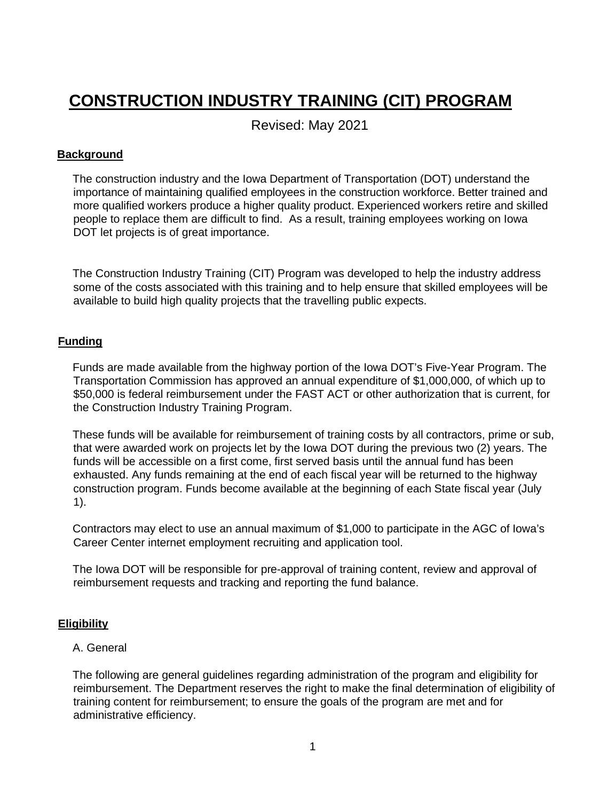# **CONSTRUCTION INDUSTRY TRAINING (CIT) PROGRAM**

Revised: May 2021

# **Background**

The construction industry and the Iowa Department of Transportation (DOT) understand the importance of maintaining qualified employees in the construction workforce. Better trained and more qualified workers produce a higher quality product. Experienced workers retire and skilled people to replace them are difficult to find. As a result, training employees working on Iowa DOT let projects is of great importance.

The Construction Industry Training (CIT) Program was developed to help the industry address some of the costs associated with this training and to help ensure that skilled employees will be available to build high quality projects that the travelling public expects.

# **Funding**

Funds are made available from the highway portion of the Iowa DOT's Five-Year Program. The Transportation Commission has approved an annual expenditure of \$1,000,000, of which up to \$50,000 is federal reimbursement under the FAST ACT or other authorization that is current, for the Construction Industry Training Program.

These funds will be available for reimbursement of training costs by all contractors, prime or sub, that were awarded work on projects let by the Iowa DOT during the previous two (2) years. The funds will be accessible on a first come, first served basis until the annual fund has been exhausted. Any funds remaining at the end of each fiscal year will be returned to the highway construction program. Funds become available at the beginning of each State fiscal year (July 1).

Contractors may elect to use an annual maximum of \$1,000 to participate in the AGC of Iowa's Career Center internet employment recruiting and application tool.

The Iowa DOT will be responsible for pre-approval of training content, review and approval of reimbursement requests and tracking and reporting the fund balance.

# **Eligibility**

## A. General

The following are general guidelines regarding administration of the program and eligibility for reimbursement. The Department reserves the right to make the final determination of eligibility of training content for reimbursement; to ensure the goals of the program are met and for administrative efficiency.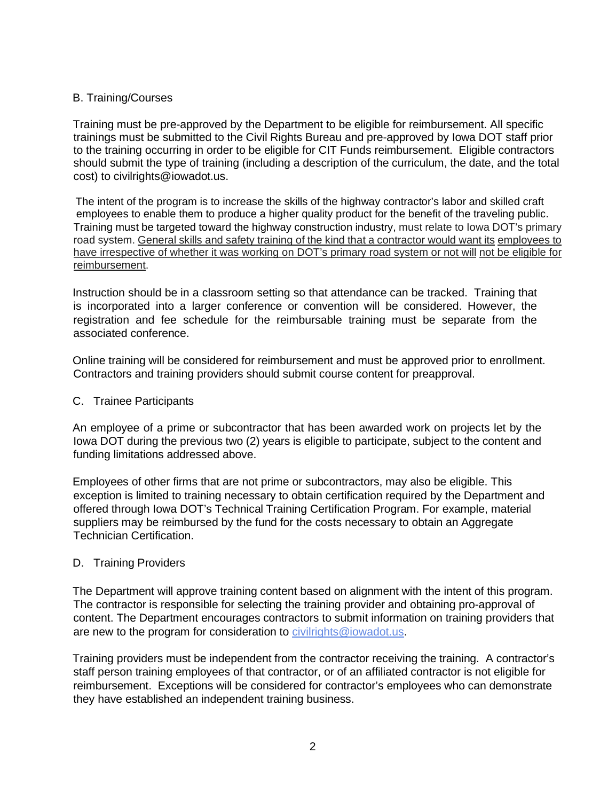# B. Training/Courses

Training must be pre-approved by the Department to be eligible for reimbursement. All specific trainings must be submitted to the Civil Rights Bureau and pre-approved by Iowa DOT staff prior to the training occurring in order to be eligible for CIT Funds reimbursement. Eligible contractors should submit the type of training (including a description of the curriculum, the date, and the total cost) to civilrights@iowadot.us.

The intent of the program is to increase the skills of the highway contractor's labor and skilled craft employees to enable them to produce a higher quality product for the benefit of the traveling public. Training must be targeted toward the highway construction industry, must relate to Iowa DOT's primary road system. General skills and safety training of the kind that a contractor would want its employees to have irrespective of whether it was working on DOT's primary road system or not will not be eligible for reimbursement.

Instruction should be in a classroom setting so that attendance can be tracked. Training that is incorporated into a larger conference or convention will be considered. However, the registration and fee schedule for the reimbursable training must be separate from the associated conference.

Online training will be considered for reimbursement and must be approved prior to enrollment. Contractors and training providers should submit course content for preapproval.

C. Trainee Participants

An employee of a prime or subcontractor that has been awarded work on projects let by the Iowa DOT during the previous two (2) years is eligible to participate, subject to the content and funding limitations addressed above.

Employees of other firms that are not prime or subcontractors, may also be eligible. This exception is limited to training necessary to obtain certification required by the Department and offered through Iowa DOT's Technical Training Certification Program. For example, material suppliers may be reimbursed by the fund for the costs necessary to obtain an Aggregate Technician Certification.

## D. Training Providers

The Department will approve training content based on alignment with the intent of this program. The contractor is responsible for selecting the training provider and obtaining pro-approval of content. The Department encourages contractors to submit information on training providers that are new to the program for consideration to civilrights@iowadot.us.

Training providers must be independent from the contractor receiving the training. A contractor's staff person training employees of that contractor, or of an affiliated contractor is not eligible for reimbursement. Exceptions will be considered for contractor's employees who can demonstrate they have established an independent training business.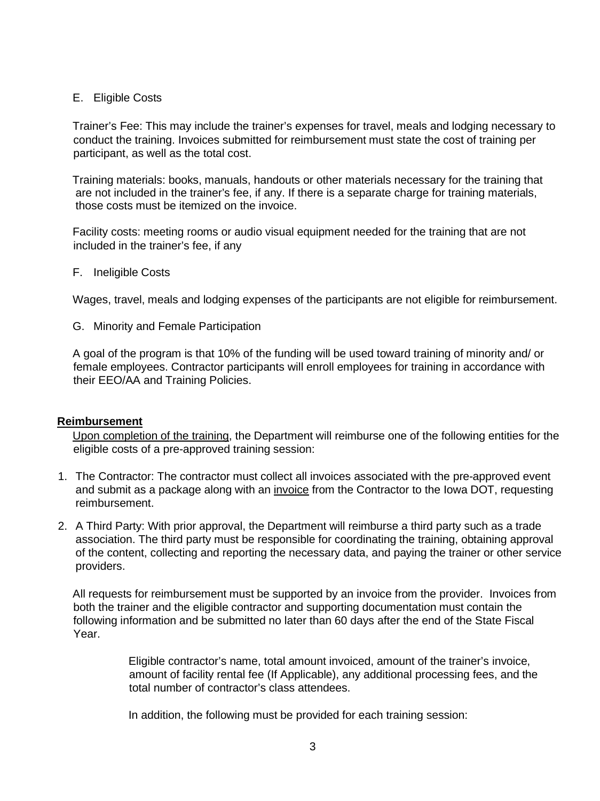## E. Eligible Costs

Trainer's Fee: This may include the trainer's expenses for travel, meals and lodging necessary to conduct the training. Invoices submitted for reimbursement must state the cost of training per participant, as well as the total cost.

Training materials: books, manuals, handouts or other materials necessary for the training that are not included in the trainer's fee, if any. If there is a separate charge for training materials, those costs must be itemized on the invoice.

Facility costs: meeting rooms or audio visual equipment needed for the training that are not included in the trainer's fee, if any

F. Ineligible Costs

Wages, travel, meals and lodging expenses of the participants are not eligible for reimbursement.

G. Minority and Female Participation

A goal of the program is that 10% of the funding will be used toward training of minority and/ or female employees. Contractor participants will enroll employees for training in accordance with their EEO/AA and Training Policies.

#### **Reimbursement**

Upon completion of the training, the Department will reimburse one of the following entities for the eligible costs of a pre-approved training session:

- 1. The Contractor: The contractor must collect all invoices associated with the pre-approved event and submit as a package along with an invoice from the Contractor to the Iowa DOT, requesting reimbursement.
- 2. A Third Party: With prior approval, the Department will reimburse a third party such as a trade association. The third party must be responsible for coordinating the training, obtaining approval of the content, collecting and reporting the necessary data, and paying the trainer or other service providers.

All requests for reimbursement must be supported by an invoice from the provider. Invoices from both the trainer and the eligible contractor and supporting documentation must contain the following information and be submitted no later than 60 days after the end of the State Fiscal Year.

> Eligible contractor's name, total amount invoiced, amount of the trainer's invoice, amount of facility rental fee (If Applicable), any additional processing fees, and the total number of contractor's class attendees.

In addition, the following must be provided for each training session: